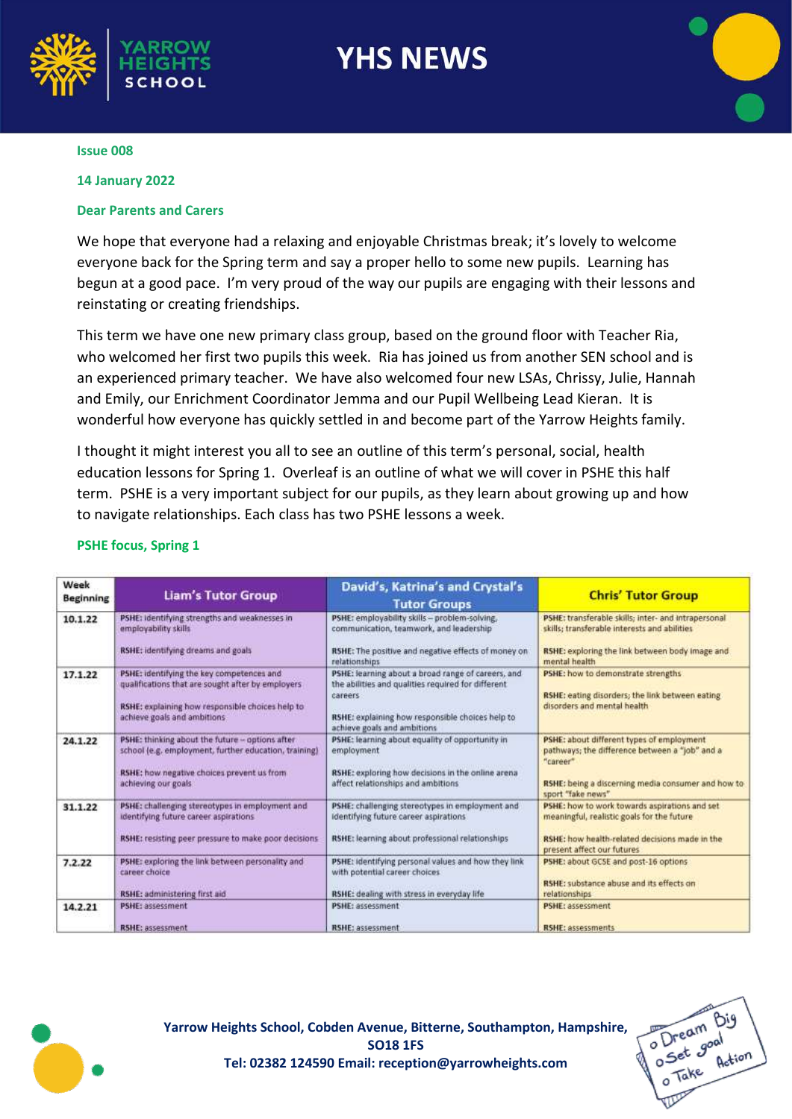

# **YHS NEWS**

#### **Issue 008**

#### **14 January 2022**

### **Dear Parents and Carers**

We hope that everyone had a relaxing and enjoyable Christmas break; it's lovely to welcome everyone back for the Spring term and say a proper hello to some new pupils. Learning has begun at a good pace. I'm very proud of the way our pupils are engaging with their lessons and reinstating or creating friendships.

This term we have one new primary class group, based on the ground floor with Teacher Ria, who welcomed her first two pupils this week. Ria has joined us from another SEN school and is an experienced primary teacher. We have also welcomed four new LSAs, Chrissy, Julie, Hannah and Emily, our Enrichment Coordinator Jemma and our Pupil Wellbeing Lead Kieran. It is wonderful how everyone has quickly settled in and become part of the Yarrow Heights family.

I thought it might interest you all to see an outline of this term's personal, social, health education lessons for Spring 1. Overleaf is an outline of what we will cover in PSHE this half term. PSHE is a very important subject for our pupils, as they learn about growing up and how to navigate relationships. Each class has two PSHE lessons a week.

| Week<br><b>Beginning</b> | <b>Liam's Tutor Group</b>                                                                                                                                                          | David's, Katrina's and Crystal's<br><b>Tutor Groups</b>                                                                                                                                                 | <b>Chris' Tutor Group</b>                                                                                                                                                          |
|--------------------------|------------------------------------------------------------------------------------------------------------------------------------------------------------------------------------|---------------------------------------------------------------------------------------------------------------------------------------------------------------------------------------------------------|------------------------------------------------------------------------------------------------------------------------------------------------------------------------------------|
| 10.1.22                  | PSHE: Identifying strengths and weaknesses in<br>employability skills<br><b>RSHE:</b> identifying dreams and goals                                                                 | PSHE: employability skills - problem-solving,<br>communication, teamwork, and leadership<br>RSHE: The positive and negative effects of money on<br>relationships                                        | PSHE: transferable skills; inter- and intrapersonal<br>skills; transferable interests and abilities<br>RSHE: exploring the link between body image and<br>mental health            |
| 17.1.22                  | PSHE: identifying the key competences and<br>qualifications that are sought after by employers<br>RSHE: explaining how responsible choices help to<br>achieve goals and ambitions. | PSHE: learning about a broad range of careers, and<br>the abilities and qualities required for different<br>careers<br>RSHE: explaining how responsible choices help to<br>achieve goals and ambitions. | PSHE: how to demonstrate strengths<br>RSHE: eating disorders; the link between eating<br>disorders and mental health                                                               |
| 24.1.22                  | PSHE: thinking about the future - options after<br>school (e.g. employment, further education, training)<br>RSHE: how negative choices prevent us from<br>achieving our goals.     | PSHE: learning about equality of opportunity in<br>employment<br>RSHE: exploring how decisions in the online arena<br>affect relationships and ambitions                                                | PSHE: about different types of employment<br>pathways; the difference between a "job" and a<br>"caneer"<br>RSHE: being a discerning media consumer and how to<br>sport "fake news" |
| 31.1.22                  | PSHE: challenging stereotypes in employment and<br>identifying future career aspirations<br>RSHE: resisting peer pressure to make poor decisions.                                  | PSHE: challenging stereotypes in employment and<br>identifying future career aspirations<br>RSHE: learning about professional relationships                                                             | PSHE: how to work towards aspirations and set<br>meaningful, realistic goals for the future<br>RSHE: how health-related decisions made in the<br>present affect our futures        |
| 7.2.22                   | PSHE: exploring the link between personality and<br>career choice<br>RSHE: administering first aid                                                                                 | PSHE: identifying personal values and how they link<br>with potential career choices.<br>RSHE: dealing with stress in everyday life                                                                     | PSHE: about GCSE and post-16 options<br><b>RSHE:</b> substance abuse and its effects on<br>relationships                                                                           |
| 14.2.21                  | <b>PSHE: assessment</b><br>RSHE: assessment                                                                                                                                        | PSHE: assessment<br><b>RSHE: assessment</b>                                                                                                                                                             | <b>PSHE: assessment</b><br><b>RSHE: assessments</b>                                                                                                                                |

### **PSHE focus, Spring 1**



**Yarrow Heights School, Cobden Avenue, Bitterne, Southampton, Hampshire, SO18 1FS Tel: 02382 124590 Email: reception@yarrowheights.com**

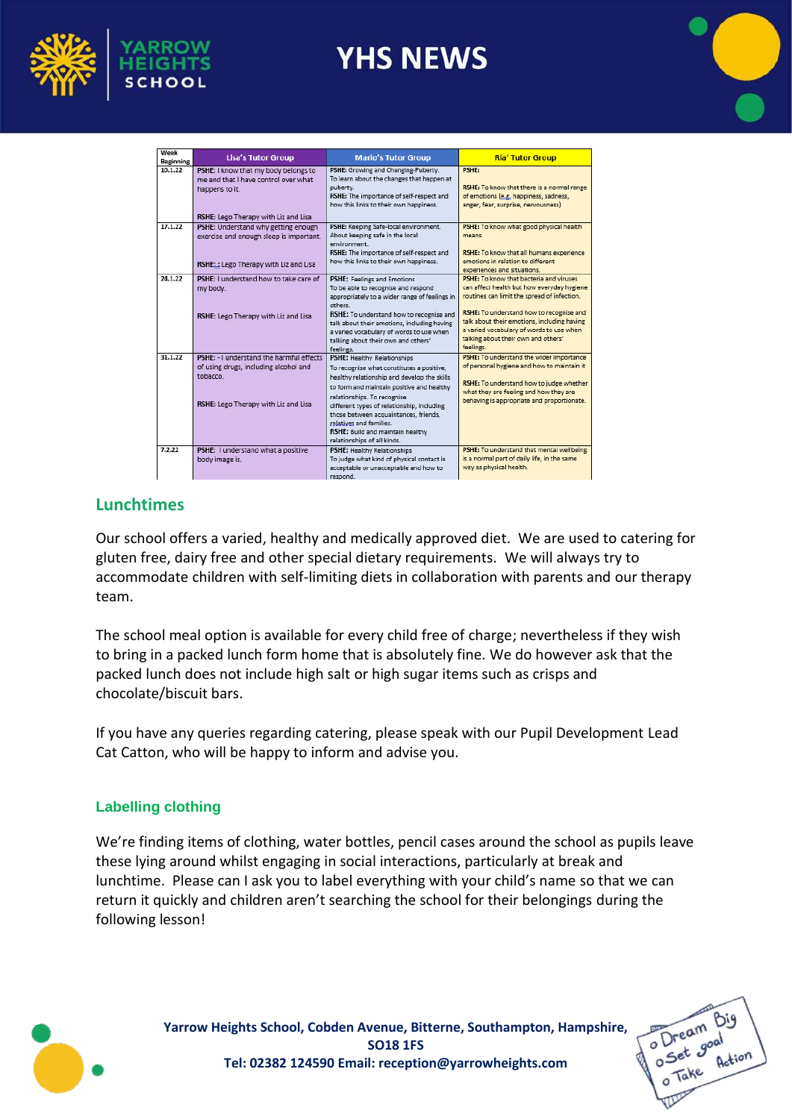

# **YHS NEWS**



| Week<br>Beginning | <b>Lisa's Tutor Group</b>                                                                                                              | <b>Mario's Tutor Group</b>                                                                                                                                                                                                                                                                                                                                                               | <b>Ria' Tutor Group</b>                                                                                                                                                                                                                                                                                                         |
|-------------------|----------------------------------------------------------------------------------------------------------------------------------------|------------------------------------------------------------------------------------------------------------------------------------------------------------------------------------------------------------------------------------------------------------------------------------------------------------------------------------------------------------------------------------------|---------------------------------------------------------------------------------------------------------------------------------------------------------------------------------------------------------------------------------------------------------------------------------------------------------------------------------|
| 10.1.22           | PSHE: I know that my body belongs to<br>me and that I have control over what<br>happens to it.<br>RSHE: Lego Therapy with Liz and Lisa | PSHE: Growing and Changing-Puberty.<br>To learn about the changes that happen at<br>puberty.<br>RSHE: The importance of self-respect and<br>how this links to their own happiness.                                                                                                                                                                                                       | <b>PSHE:</b><br>RSHE: To know that there is a normal range<br>of emotions (e.g. happiness, sadness,<br>anger, fear, surprise, nervousness)                                                                                                                                                                                      |
| 17.1.22           | PSHE: Understand why getting enough<br>exercise and enough sleep is important.<br>RSHE:: Lego Therapy with Liz and Lisa                | PSHE: Keeping Safe-local environment.<br>About keeping safe in the local<br>environment.<br>RSHE: The importance of self-respect and<br>how this links to their own happiness.                                                                                                                                                                                                           | PSHE: To know what good physical health<br>means.<br>RSHE: To know that all humans experience<br>emotions in relation to different<br>experiences and situations.                                                                                                                                                               |
| 24.1.22           | PSHE: I understand how to take care of<br>my body.<br>RSHE: Lego Therapy with Liz and Lisa                                             | PSHE: Feelings and Emotions<br>To be able to recognise and respond<br>appropriately to a wider range of feelings in<br>others.<br>RSHE: To understand how to recognise and<br>talk about their emotions, including having<br>a varied vocabulary of words to use when<br>talking about their own and others'<br>feelings.                                                                | PSHE: To know that bacteria and viruses<br>can affect health but how everyday hygiene<br>routines can limit the spread of infection.<br>RSHE: To understand how to recognise and<br>talk about their emotions, including having<br>a varied vocabulary of words to use when<br>talking about their own and others'<br>feelings. |
| 31.1.22           | PSHF: - Lunderstand the harmful effects<br>of using drugs, including alcohol and<br>tobacco<br>RSHE: Lego Therapy with Liz and Lisa    | PSHE: Healthy Relationships<br>To recognise what constitutes a positive.<br>healthy relationship and develop the skills<br>to form and maintain positive and healthy<br>relationships. To recognise<br>different types of relationship, including<br>those between acquaintances, friends,<br>relatives and families.<br>RSHE: Build and maintain healthy<br>relationships of all kinds. | PSHE: To understand the wider importance<br>of personal hygiene and how to maintain it<br>RSHE: To understand how to judge whether<br>what they are feeling and how they are<br>behaving is appropriate and proportionate.                                                                                                      |
| 7.2.22            | PSHE: I understand what a positive<br>body image is.                                                                                   | PSHE: Healthy Relationships<br>To judge what kind of physical contact is<br>acceptable or unacceptable and how to<br>respond.                                                                                                                                                                                                                                                            | PSHE: To understand that mental wellbeing<br>is a normal part of daily life, in the same<br>way as physical health.                                                                                                                                                                                                             |

## **Lunchtimes**

Our school offers a varied, healthy and medically approved diet. We are used to catering for gluten free, dairy free and other special dietary requirements. We will always try to accommodate children with self-limiting diets in collaboration with parents and our therapy team.

The school meal option is available for every child free of charge; nevertheless if they wish to bring in a packed lunch form home that is absolutely fine. We do however ask that the packed lunch does not include high salt or high sugar items such as crisps and chocolate/biscuit bars.

If you have any queries regarding catering, please speak with our Pupil Development Lead Cat Catton, who will be happy to inform and advise you.

## **Labelling clothing**

We're finding items of clothing, water bottles, pencil cases around the school as pupils leave these lying around whilst engaging in social interactions, particularly at break and lunchtime. Please can I ask you to label everything with your child's name so that we can return it quickly and children aren't searching the school for their belongings during the following lesson!



**Yarrow Heights School, Cobden Avenue, Bitterne, Southampton, Hampshire, SO18 1FS Tel: 02382 124590 Email: reception@yarrowheights.com**